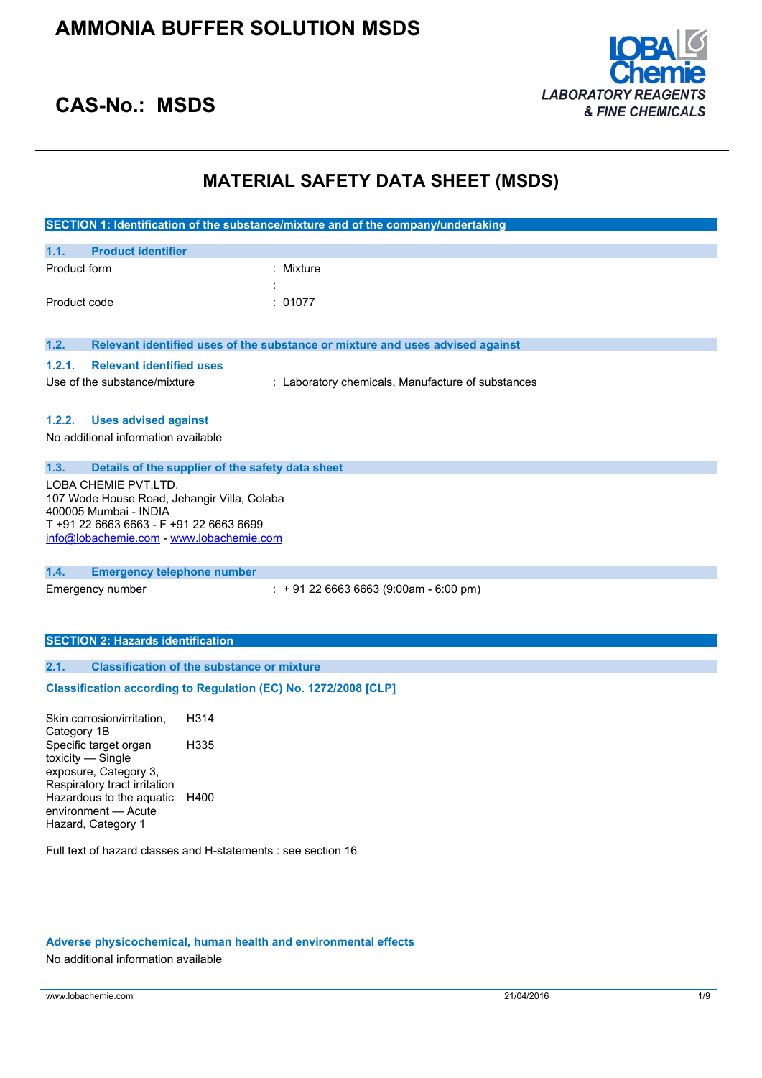

### **CAS-No.: MSDS**

# **MATERIAL SAFETY DATA SHEET (MSDS)**

|                                                                                                                                                                                     |                                                   | SECTION 1: Identification of the substance/mixture and of the company/undertaking |  |
|-------------------------------------------------------------------------------------------------------------------------------------------------------------------------------------|---------------------------------------------------|-----------------------------------------------------------------------------------|--|
| <b>Product identifier</b><br>1.1.                                                                                                                                                   |                                                   |                                                                                   |  |
| Product form                                                                                                                                                                        |                                                   | : Mixture                                                                         |  |
| Product code                                                                                                                                                                        |                                                   | : 01077                                                                           |  |
| 1.2.                                                                                                                                                                                |                                                   | Relevant identified uses of the substance or mixture and uses advised against     |  |
| 1.2.1.<br><b>Relevant identified uses</b>                                                                                                                                           |                                                   |                                                                                   |  |
| Use of the substance/mixture                                                                                                                                                        |                                                   | : Laboratory chemicals, Manufacture of substances                                 |  |
| <b>Uses advised against</b><br>1.2.2.<br>No additional information available                                                                                                        |                                                   |                                                                                   |  |
| 1.3.                                                                                                                                                                                | Details of the supplier of the safety data sheet  |                                                                                   |  |
| LOBA CHEMIE PVT.LTD.<br>107 Wode House Road, Jehangir Villa, Colaba<br>400005 Mumbai - INDIA<br>T +91 22 6663 6663 - F +91 22 6663 6699<br>info@lobachemie.com - www.lobachemie.com |                                                   |                                                                                   |  |
| 1.4.<br><b>Emergency telephone number</b>                                                                                                                                           |                                                   |                                                                                   |  |
| Emergency number                                                                                                                                                                    |                                                   | $: +912266636663(9:00am - 6:00 pm)$                                               |  |
| <b>SECTION 2: Hazards identification</b>                                                                                                                                            |                                                   |                                                                                   |  |
| 2.1.                                                                                                                                                                                | <b>Classification of the substance or mixture</b> |                                                                                   |  |
| Classification according to Regulation (EC) No. 1272/2008 [CLP]                                                                                                                     |                                                   |                                                                                   |  |
| Skin corrosion/irritation,<br>Category 1B                                                                                                                                           | H314                                              |                                                                                   |  |
| Specific target organ<br>toxicity - Single<br>exposure, Category 3,<br>Respiratory tract irritation                                                                                 | H335                                              |                                                                                   |  |
| Hazardous to the aquatic                                                                                                                                                            | H400                                              |                                                                                   |  |

Full text of hazard classes and H-statements : see section 16

### **Adverse physicochemical, human health and environmental effects**

No additional information available

environment — Acute Hazard, Category 1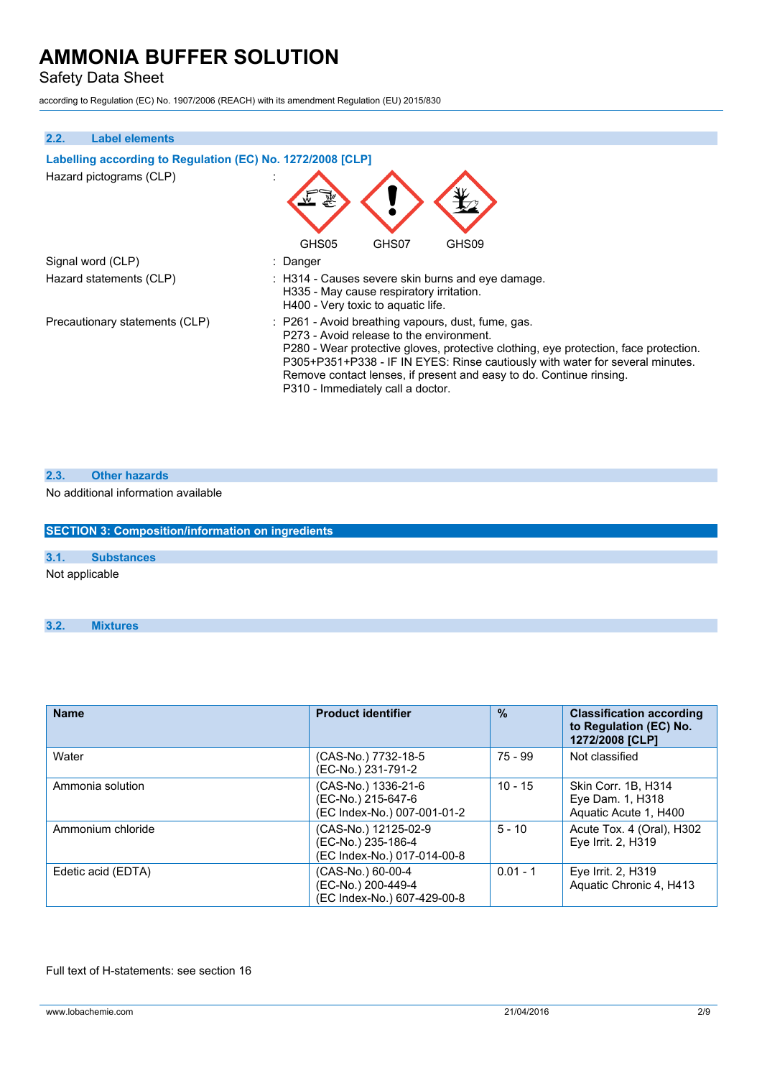Safety Data Sheet

according to Regulation (EC) No. 1907/2006 (REACH) with its amendment Regulation (EU) 2015/830

| 2.2.<br><b>Label elements</b>                              |                                                                                                                                                                                                                                                                                                                                                                                     |
|------------------------------------------------------------|-------------------------------------------------------------------------------------------------------------------------------------------------------------------------------------------------------------------------------------------------------------------------------------------------------------------------------------------------------------------------------------|
| Labelling according to Regulation (EC) No. 1272/2008 [CLP] |                                                                                                                                                                                                                                                                                                                                                                                     |
| Hazard pictograms (CLP)                                    |                                                                                                                                                                                                                                                                                                                                                                                     |
|                                                            | GHS05<br>GHS07<br>GHS09                                                                                                                                                                                                                                                                                                                                                             |
| Signal word (CLP)                                          | : Danger                                                                                                                                                                                                                                                                                                                                                                            |
| Hazard statements (CLP)                                    | : H314 - Causes severe skin burns and eye damage.<br>H335 - May cause respiratory irritation.<br>H400 - Very toxic to aquatic life.                                                                                                                                                                                                                                                 |
| Precautionary statements (CLP)                             | : P261 - Avoid breathing vapours, dust, fume, gas.<br>P273 - Avoid release to the environment.<br>P280 - Wear protective gloves, protective clothing, eye protection, face protection.<br>P305+P351+P338 - IF IN EYES: Rinse cautiously with water for several minutes.<br>Remove contact lenses, if present and easy to do. Continue rinsing.<br>P310 - Immediately call a doctor. |

### **2.3. Other hazards**

No additional information available

|      | <b>SECTION 3: Composition/information on ingredients</b> |  |
|------|----------------------------------------------------------|--|
| 3.1. | <b>Substances</b>                                        |  |
|      | Not applicable                                           |  |

| <b>Name</b>        | <b>Product identifier</b>                                                 | $\%$       | <b>Classification according</b><br>to Regulation (EC) No.<br>1272/2008 [CLP] |
|--------------------|---------------------------------------------------------------------------|------------|------------------------------------------------------------------------------|
| Water              | (CAS-No.) 7732-18-5<br>(EC-No.) 231-791-2                                 | 75 - 99    | Not classified                                                               |
| Ammonia solution   | (CAS-No.) 1336-21-6<br>(EC-No.) 215-647-6<br>(EC Index-No.) 007-001-01-2  | $10 - 15$  | Skin Corr. 1B. H314<br>Eye Dam. 1, H318<br>Aquatic Acute 1, H400             |
| Ammonium chloride  | (CAS-No.) 12125-02-9<br>(EC-No.) 235-186-4<br>(EC Index-No.) 017-014-00-8 | $5 - 10$   | Acute Tox. 4 (Oral), H302<br>Eye Irrit. 2, H319                              |
| Edetic acid (EDTA) | (CAS-No.) 60-00-4<br>(EC-No.) 200-449-4<br>(EC Index-No.) 607-429-00-8    | $0.01 - 1$ | Eye Irrit. 2, H319<br>Aquatic Chronic 4, H413                                |

Full text of H-statements: see section 16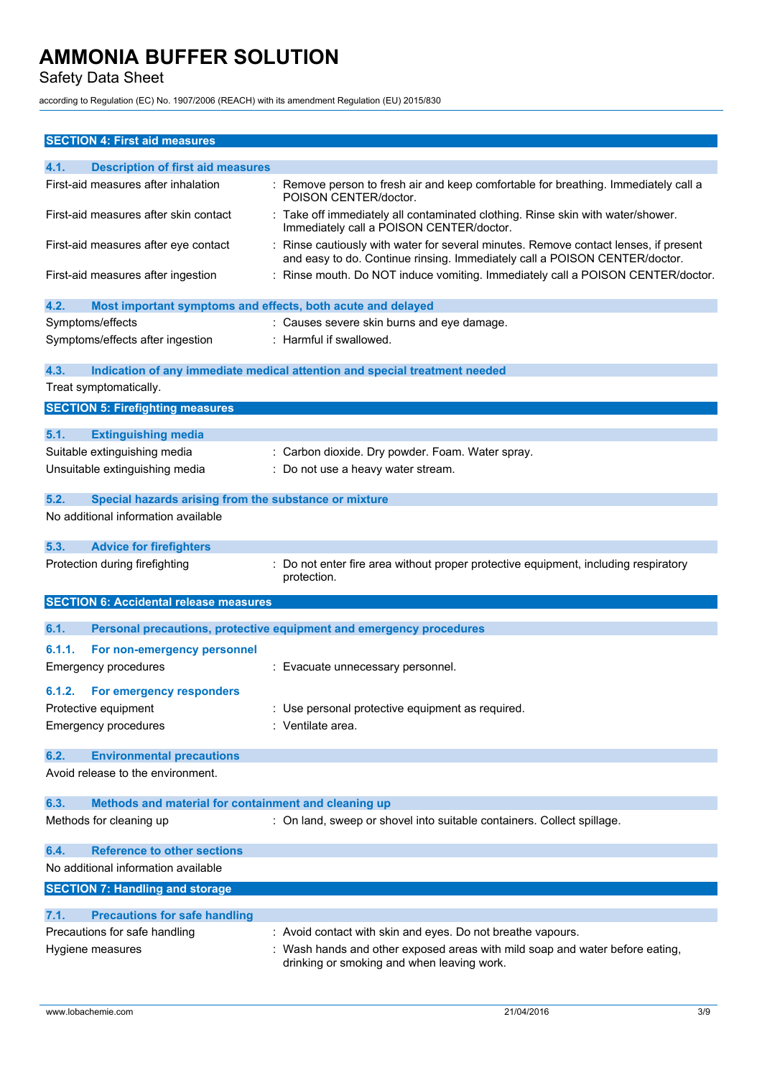Safety Data Sheet

according to Regulation (EC) No. 1907/2006 (REACH) with its amendment Regulation (EU) 2015/830

| <b>SECTION 4: First aid measures</b>                                          |                                                                                                                                                                  |
|-------------------------------------------------------------------------------|------------------------------------------------------------------------------------------------------------------------------------------------------------------|
| 4.1.<br><b>Description of first aid measures</b>                              |                                                                                                                                                                  |
| First-aid measures after inhalation                                           | : Remove person to fresh air and keep comfortable for breathing. Immediately call a<br>POISON CENTER/doctor.                                                     |
| First-aid measures after skin contact                                         | : Take off immediately all contaminated clothing. Rinse skin with water/shower.<br>Immediately call a POISON CENTER/doctor.                                      |
| First-aid measures after eye contact                                          | Rinse cautiously with water for several minutes. Remove contact lenses, if present<br>and easy to do. Continue rinsing. Immediately call a POISON CENTER/doctor. |
| First-aid measures after ingestion                                            | : Rinse mouth. Do NOT induce vomiting. Immediately call a POISON CENTER/doctor.                                                                                  |
| 4.2.<br>Most important symptoms and effects, both acute and delayed           |                                                                                                                                                                  |
| Symptoms/effects                                                              | : Causes severe skin burns and eye damage.                                                                                                                       |
| Symptoms/effects after ingestion                                              | : Harmful if swallowed.                                                                                                                                          |
| 4.3.                                                                          | Indication of any immediate medical attention and special treatment needed                                                                                       |
| Treat symptomatically.                                                        |                                                                                                                                                                  |
| <b>SECTION 5: Firefighting measures</b>                                       |                                                                                                                                                                  |
| 5.1.<br><b>Extinguishing media</b>                                            |                                                                                                                                                                  |
| Suitable extinguishing media                                                  | : Carbon dioxide. Dry powder. Foam. Water spray.                                                                                                                 |
| Unsuitable extinguishing media                                                | : Do not use a heavy water stream.                                                                                                                               |
|                                                                               |                                                                                                                                                                  |
| 5.2.<br>Special hazards arising from the substance or mixture                 |                                                                                                                                                                  |
| No additional information available                                           |                                                                                                                                                                  |
| 5.3.<br><b>Advice for firefighters</b>                                        |                                                                                                                                                                  |
| Protection during firefighting                                                | : Do not enter fire area without proper protective equipment, including respiratory<br>protection.                                                               |
| <b>SECTION 6: Accidental release measures</b>                                 |                                                                                                                                                                  |
| 6.1.                                                                          | Personal precautions, protective equipment and emergency procedures                                                                                              |
|                                                                               |                                                                                                                                                                  |
| 6.1.1.<br>For non-emergency personnel                                         |                                                                                                                                                                  |
| <b>Emergency procedures</b>                                                   | : Evacuate unnecessary personnel.                                                                                                                                |
| 6.1.2.<br>For emergency responders                                            |                                                                                                                                                                  |
| Protective equipment                                                          | : Use personal protective equipment as required                                                                                                                  |
| <b>Emergency procedures</b>                                                   | : Ventilate area.                                                                                                                                                |
|                                                                               |                                                                                                                                                                  |
| <b>Environmental precautions</b><br>6.2.<br>Avoid release to the environment. |                                                                                                                                                                  |
|                                                                               |                                                                                                                                                                  |
| Methods and material for containment and cleaning up<br>6.3.                  |                                                                                                                                                                  |
| Methods for cleaning up                                                       | : On land, sweep or shovel into suitable containers. Collect spillage.                                                                                           |
|                                                                               |                                                                                                                                                                  |
| <b>Reference to other sections</b><br>6.4.                                    |                                                                                                                                                                  |
| No additional information available                                           |                                                                                                                                                                  |
| <b>SECTION 7: Handling and storage</b>                                        |                                                                                                                                                                  |
| 7.1.<br><b>Precautions for safe handling</b>                                  |                                                                                                                                                                  |
| Precautions for safe handling                                                 | : Avoid contact with skin and eyes. Do not breathe vapours.                                                                                                      |
| Hygiene measures                                                              | : Wash hands and other exposed areas with mild soap and water before eating,<br>drinking or smoking and when leaving work.                                       |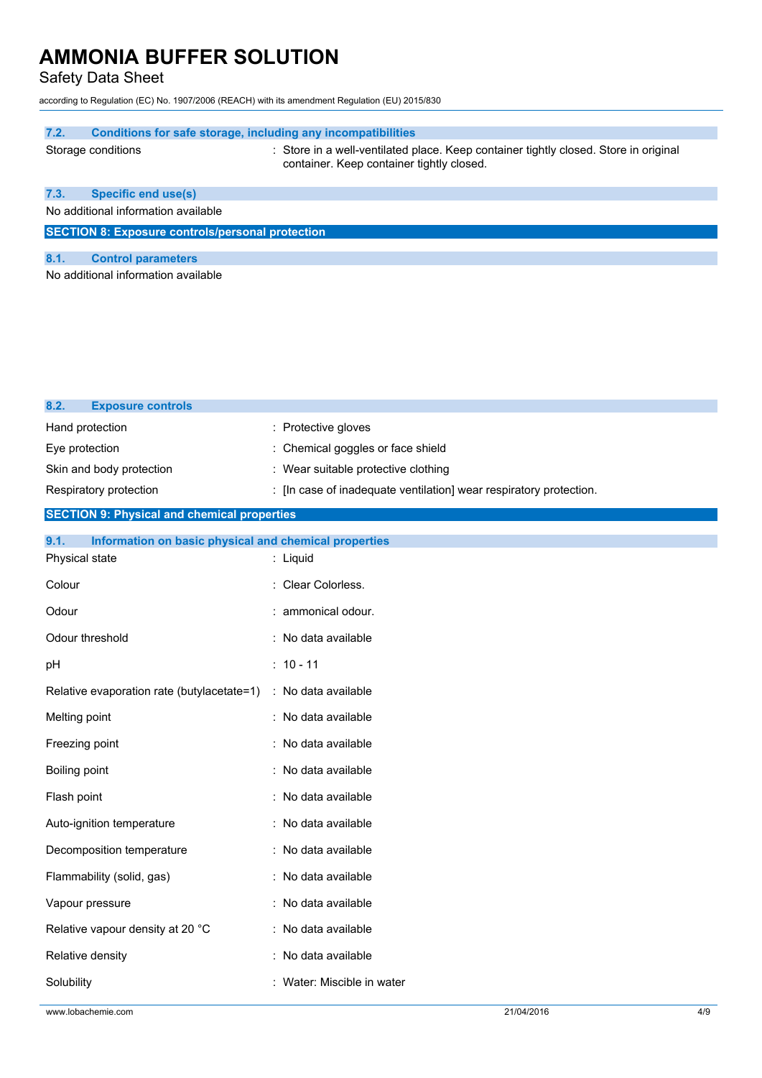Safety Data Sheet

according to Regulation (EC) No. 1907/2006 (REACH) with its amendment Regulation (EU) 2015/830

### **7.2. Conditions for safe storage, including any incompatibilities**

Storage conditions : Store in a well-ventilated place. Keep container tightly closed. Store in original container. Keep container tightly closed.

### **7.3. Specific end use(s)**

No additional information available

**SECTION 8: Exposure controls/personal protection**

### **8.1. Control parameters**

**8.2. Exposure controls**

No additional information available

| Hand protection                                               | : Protective gloves                                                |  |  |
|---------------------------------------------------------------|--------------------------------------------------------------------|--|--|
| Eye protection                                                | Chemical goggles or face shield                                    |  |  |
| Skin and body protection                                      | : Wear suitable protective clothing                                |  |  |
| Respiratory protection                                        | : [In case of inadequate ventilation] wear respiratory protection. |  |  |
| <b>SECTION 9: Physical and chemical properties</b>            |                                                                    |  |  |
| 9.1.<br>Information on basic physical and chemical properties |                                                                    |  |  |
| Physical state                                                | : Liquid                                                           |  |  |
| Colour                                                        | Clear Colorless.                                                   |  |  |
| Odour                                                         | ammonical odour.                                                   |  |  |
| Odour threshold                                               | : No data available                                                |  |  |
| рH                                                            | $: 10 - 11$                                                        |  |  |
| Relative evaporation rate (butylacetate=1)                    | : No data available                                                |  |  |
| Melting point                                                 | : No data available                                                |  |  |
| Freezing point                                                | No data available                                                  |  |  |
| Boiling point                                                 | : No data available                                                |  |  |
| Flash point                                                   | No data available                                                  |  |  |
| Auto-ignition temperature                                     | : No data available                                                |  |  |
| Decomposition temperature                                     | No data available                                                  |  |  |
| Flammability (solid, gas)                                     | No data available                                                  |  |  |
| Vapour pressure                                               | : No data available                                                |  |  |
| Relative vapour density at 20 °C                              | : No data available                                                |  |  |
| Relative density                                              | No data available                                                  |  |  |
| Solubility                                                    | Water: Miscible in water                                           |  |  |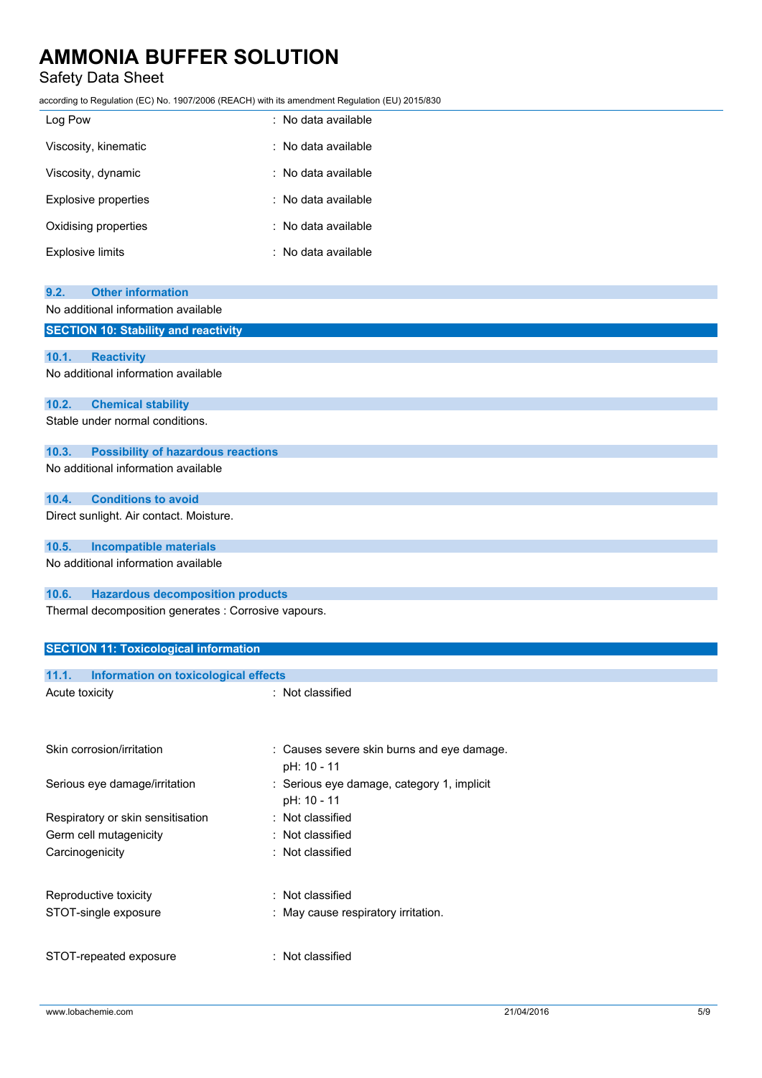### Safety Data Sheet

according to Regulation (EC) No. 1907/2006 (REACH) with its amendment Regulation (EU) 2015/830

| Log Pow                 | : No data available |
|-------------------------|---------------------|
| Viscosity, kinematic    | : No data available |
| Viscosity, dynamic      | : No data available |
| Explosive properties    | : No data available |
| Oxidising properties    | : No data available |
| <b>Explosive limits</b> | : No data available |

| 9.2.                                                 | <b>Other information</b>                     |                                                           |  |
|------------------------------------------------------|----------------------------------------------|-----------------------------------------------------------|--|
|                                                      | No additional information available          |                                                           |  |
|                                                      | <b>SECTION 10: Stability and reactivity</b>  |                                                           |  |
|                                                      |                                              |                                                           |  |
| 10.1.                                                | <b>Reactivity</b>                            |                                                           |  |
|                                                      | No additional information available          |                                                           |  |
| 10.2.                                                | <b>Chemical stability</b>                    |                                                           |  |
|                                                      | Stable under normal conditions.              |                                                           |  |
| 10.3.                                                | <b>Possibility of hazardous reactions</b>    |                                                           |  |
|                                                      | No additional information available          |                                                           |  |
| 10.4.                                                | <b>Conditions to avoid</b>                   |                                                           |  |
|                                                      | Direct sunlight. Air contact. Moisture.      |                                                           |  |
| 10.5.                                                | <b>Incompatible materials</b>                |                                                           |  |
|                                                      | No additional information available          |                                                           |  |
| 10.6.                                                | <b>Hazardous decomposition products</b>      |                                                           |  |
| Thermal decomposition generates : Corrosive vapours. |                                              |                                                           |  |
|                                                      | <b>SECTION 11: Toxicological information</b> |                                                           |  |
| 11.1.                                                | <b>Information on toxicological effects</b>  |                                                           |  |
| Acute toxicity                                       |                                              | : Not classified                                          |  |
|                                                      |                                              |                                                           |  |
|                                                      | Skin corrosion/irritation                    | : Causes severe skin burns and eye damage.<br>pH: 10 - 11 |  |
|                                                      | Serious eye damage/irritation                | : Serious eye damage, category 1, implicit<br>pH: 10 - 11 |  |
|                                                      | Respiratory or skin sensitisation            | Not classified                                            |  |
|                                                      | Germ cell mutagenicity                       | Not classified                                            |  |
| Carcinogenicity                                      |                                              | Not classified                                            |  |
|                                                      |                                              |                                                           |  |

STOT-repeated exposure : Not classified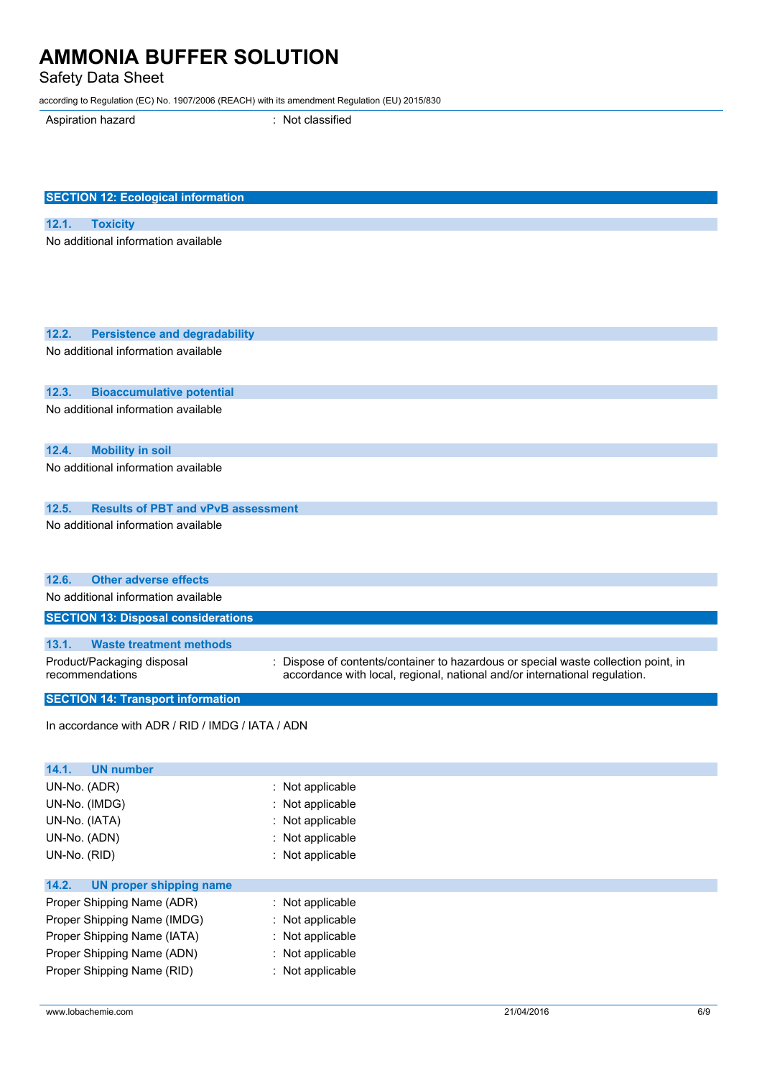Safety Data Sheet

according to Regulation (EC) No. 1907/2006 (REACH) with its amendment Regulation (EU) 2015/830

Aspiration hazard **in the set of the Casacase** : Not classified

| <b>SECTION 12: Ecological information</b>          |                                                                                  |
|----------------------------------------------------|----------------------------------------------------------------------------------|
| 12.1.<br><b>Toxicity</b>                           |                                                                                  |
| No additional information available                |                                                                                  |
|                                                    |                                                                                  |
| 12.2.                                              |                                                                                  |
| <b>Persistence and degradability</b>               |                                                                                  |
| No additional information available                |                                                                                  |
| 12.3.<br><b>Bioaccumulative potential</b>          |                                                                                  |
| No additional information available                |                                                                                  |
| 12.4.<br><b>Mobility in soil</b>                   |                                                                                  |
| No additional information available                |                                                                                  |
| 12.5.<br><b>Results of PBT and vPvB assessment</b> |                                                                                  |
| No additional information available                |                                                                                  |
| 12.6.<br><b>Other adverse effects</b>              |                                                                                  |
| No additional information available                |                                                                                  |
| <b>SECTION 13: Disposal considerations</b>         |                                                                                  |
| 13.1.<br><b>Waste treatment methods</b>            |                                                                                  |
| Product/Packaging disposal                         | Dispose of contents/container to hazardous or special waste collection point, in |
| recommendations                                    | accordance with local, regional, national and/or international regulation.       |
| <b>SECTION 14: Transport information</b>           |                                                                                  |
| In accordance with ADR / RID / IMDG / IATA / ADN   |                                                                                  |
| 14.1.<br><b>UN number</b>                          |                                                                                  |
| UN-No. (ADR)                                       | : Not applicable                                                                 |
| UN-No. (IMDG)                                      | Not applicable                                                                   |
| UN-No. (IATA)                                      | : Not applicable                                                                 |
| UN-No. (ADN)                                       | Not applicable                                                                   |
| UN-No. (RID)                                       | : Not applicable                                                                 |
| 14.2.<br><b>UN proper shipping name</b>            |                                                                                  |
| Proper Shipping Name (ADR)                         | : Not applicable                                                                 |
| Proper Shipping Name (IMDG)                        | : Not applicable                                                                 |
| Proper Shipping Name (IATA)                        | Not applicable                                                                   |
| Proper Shipping Name (ADN)                         | : Not applicable                                                                 |
| Proper Shipping Name (RID)                         | : Not applicable                                                                 |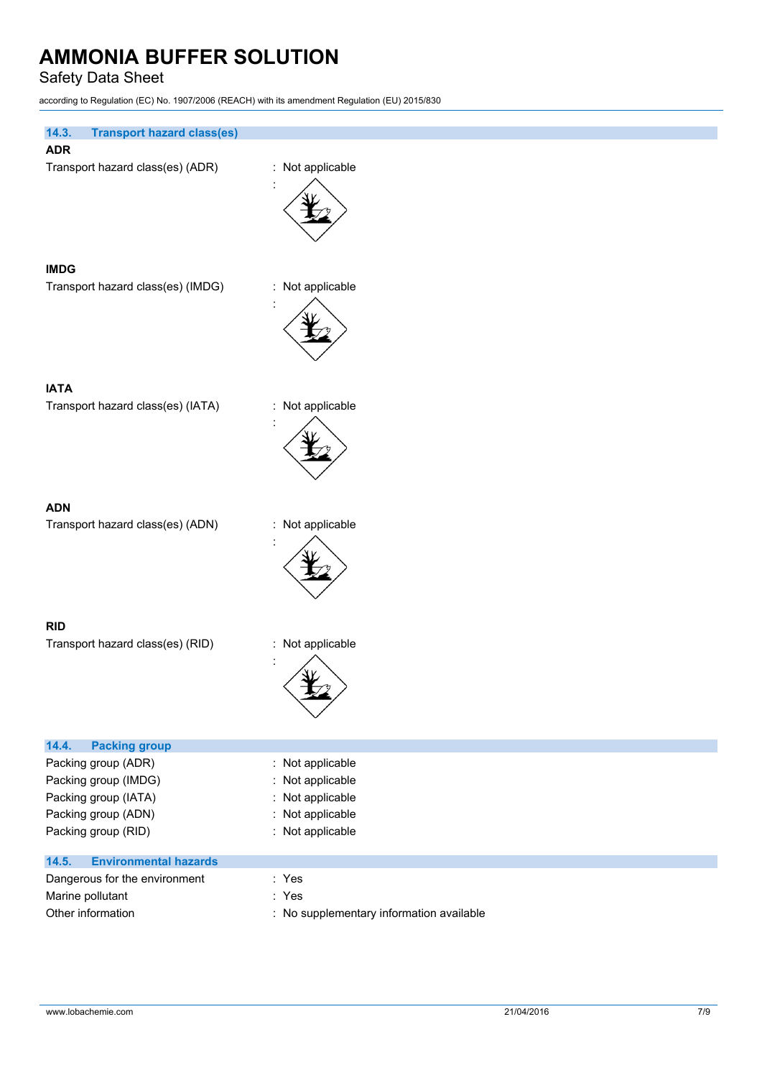Safety Data Sheet

according to Regulation (EC) No. 1907/2006 (REACH) with its amendment Regulation (EU) 2015/830

| <b>Transport hazard class(es)</b><br>14.3.                                                                        |                                                                                                     |
|-------------------------------------------------------------------------------------------------------------------|-----------------------------------------------------------------------------------------------------|
| <b>ADR</b>                                                                                                        |                                                                                                     |
| Transport hazard class(es) (ADR)                                                                                  | : Not applicable                                                                                    |
| <b>IMDG</b>                                                                                                       |                                                                                                     |
| Transport hazard class(es) (IMDG)                                                                                 | : Not applicable                                                                                    |
| <b>IATA</b>                                                                                                       |                                                                                                     |
| Transport hazard class(es) (IATA)                                                                                 | : Not applicable                                                                                    |
|                                                                                                                   |                                                                                                     |
| <b>ADN</b><br>Transport hazard class(es) (ADN)                                                                    | : Not applicable                                                                                    |
|                                                                                                                   |                                                                                                     |
| <b>RID</b><br>Transport hazard class(es) (RID)                                                                    | : Not applicable                                                                                    |
| 14.4.<br><b>Packing group</b>                                                                                     |                                                                                                     |
| Packing group (ADR)<br>Packing group (IMDG)<br>Packing group (IATA)<br>Packing group (ADN)<br>Packing group (RID) | : Not applicable<br>: Not applicable<br>: Not applicable<br>Not applicable<br>÷<br>: Not applicable |
| <b>Environmental hazards</b><br>14.5.                                                                             |                                                                                                     |
| Dangerous for the environment<br>Marine pollutant                                                                 | : Yes<br>: Yes                                                                                      |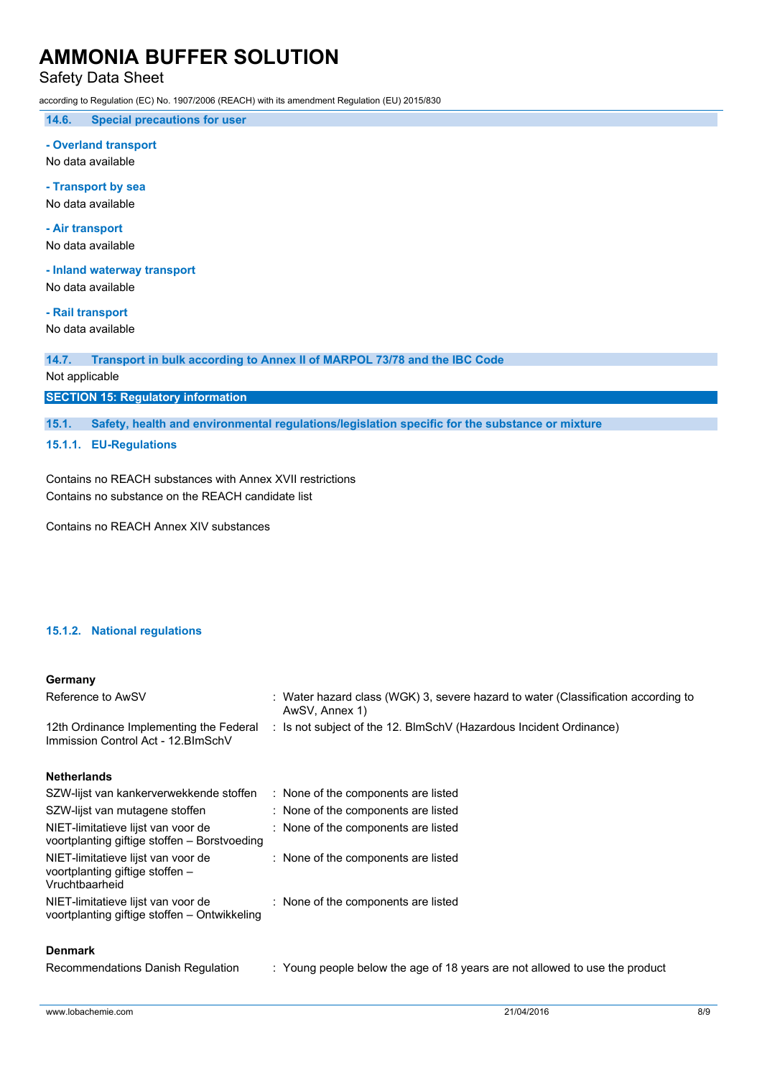Safety Data Sheet

according to Regulation (EC) No. 1907/2006 (REACH) with its amendment Regulation (EU) 2015/830

**14.6. Special precautions for user**

**- Overland transport**

No data available

**- Transport by sea**

No data available

**- Air transport**

No data available

**- Inland waterway transport**

No data available

**- Rail transport**

No data available

**14.7. Transport in bulk according to Annex II of MARPOL 73/78 and the IBC Code**

### Not applicable

**SECTION 15: Regulatory information**

**15.1. Safety, health and environmental regulations/legislation specific for the substance or mixture**

**15.1.1. EU-Regulations**

Contains no REACH substances with Annex XVII restrictions Contains no substance on the REACH candidate list

Contains no REACH Annex XIV substances

### **15.1.2. National regulations**

### **Germany**

| Reference to AwSV                                                             | : Water hazard class (WGK) 3, severe hazard to water (Classification according to<br>AwSV. Annex 1) |
|-------------------------------------------------------------------------------|-----------------------------------------------------------------------------------------------------|
| 12th Ordinance Implementing the Federal<br>Immission Control Act - 12.BImSchV | : Is not subject of the 12. BlmSchV (Hazardous Incident Ordinance)                                  |

#### **Netherlands**

| SZW-lijst van kankerverwekkende stoffen                                                 | : None of the components are listed |
|-----------------------------------------------------------------------------------------|-------------------------------------|
| SZW-lijst van mutagene stoffen                                                          | : None of the components are listed |
| NIET-limitatieve lijst van voor de<br>voortplanting giftige stoffen - Borstvoeding      | : None of the components are listed |
| NIET-limitatieve lijst van voor de<br>voortplanting giftige stoffen -<br>Vruchtbaarheid | : None of the components are listed |
| NIET-limitatieve lijst van voor de<br>voortplanting giftige stoffen - Ontwikkeling      | : None of the components are listed |

### **Denmark**

| Recommendations Danish Regulation | Young people below the age of 18 years are not allowed to use the product |
|-----------------------------------|---------------------------------------------------------------------------|
|                                   |                                                                           |